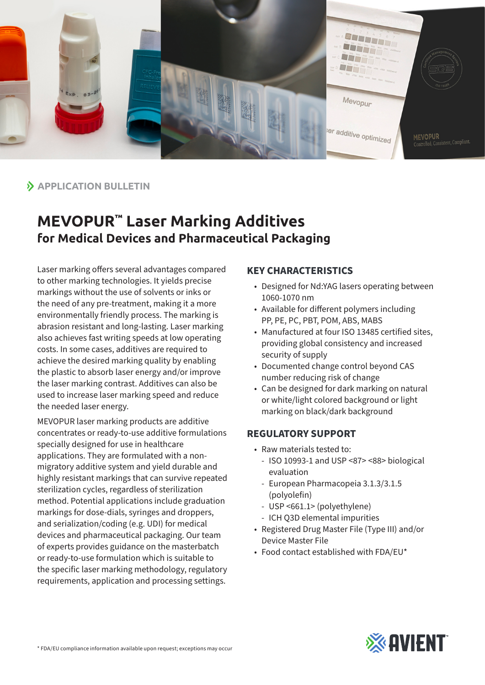

## **APPLICATION BULLETIN**

# **MEVOPUR™ Laser Marking Additives for Medical Devices and Pharmaceutical Packaging**

Laser marking offers several advantages compared to other marking technologies. It yields precise markings without the use of solvents or inks or the need of any pre-treatment, making it a more environmentally friendly process. The marking is abrasion resistant and long-lasting. Laser marking also achieves fast writing speeds at low operating costs. In some cases, additives are required to achieve the desired marking quality by enabling the plastic to absorb laser energy and/or improve the laser marking contrast. Additives can also be used to increase laser marking speed and reduce the needed laser energy.

MEVOPUR laser marking products are additive concentrates or ready-to-use additive formulations specially designed for use in healthcare applications. They are formulated with a nonmigratory additive system and yield durable and highly resistant markings that can survive repeated sterilization cycles, regardless of sterilization method. Potential applications include graduation markings for dose-dials, syringes and droppers, and serialization/coding (e.g. UDI) for medical devices and pharmaceutical packaging. Our team of experts provides guidance on the masterbatch or ready-to-use formulation which is suitable to the specific laser marking methodology, regulatory requirements, application and processing settings.

#### **KEY CHARACTERISTICS**

- Designed for Nd:YAG lasers operating between 1060-1070 nm
- Available for different polymers including PP, PE, PC, PBT, POM, ABS, MABS
- Manufactured at four ISO 13485 certified sites, providing global consistency and increased security of supply
- Documented change control beyond CAS number reducing risk of change
- Can be designed for dark marking on natural or white/light colored background or light marking on black/dark background

### **REGULATORY SUPPORT**

- Raw materials tested to:
	- ISO 10993-1 and USP <87> <88> biological evaluation
	- European Pharmacopeia 3.1.3/3.1.5 (polyolefin)
	- USP <661.1> (polyethylene)
	- ICH Q3D elemental impurities
- Registered Drug Master File (Type III) and/or Device Master File
- Food contact established with FDA/EU\*